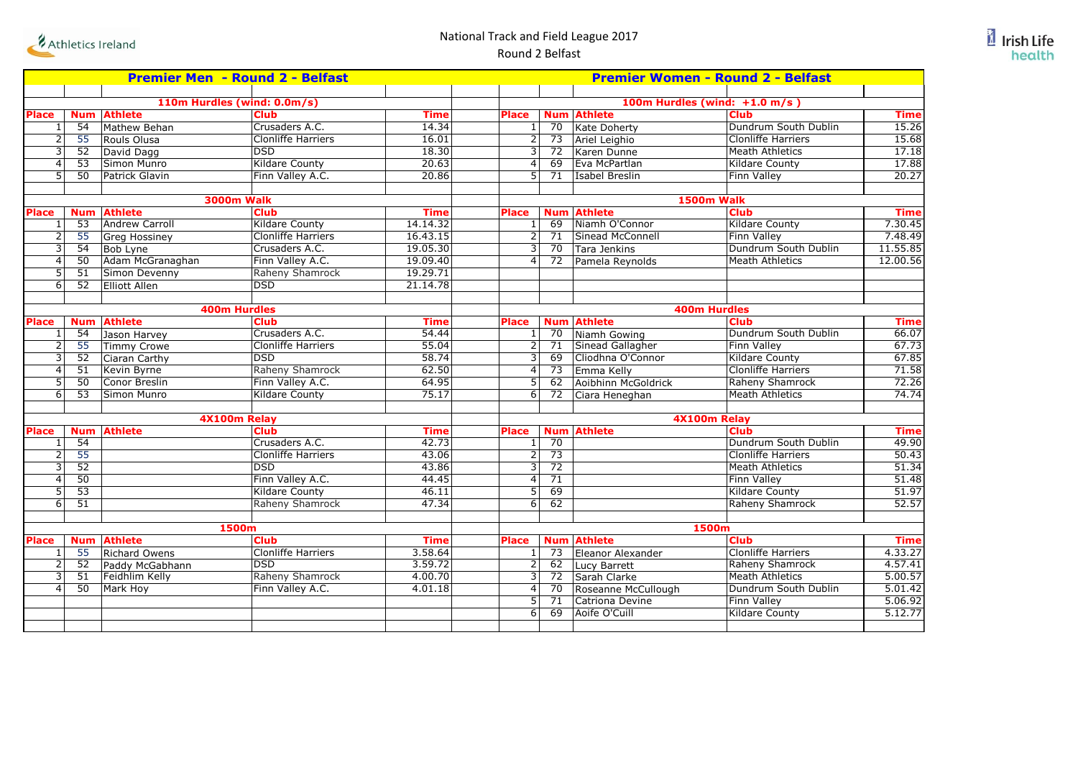



| <b>Premier Men - Round 2 - Belfast</b>            |                             |                     |                           |             |                                 | Premier Women - Round 2 - Belfast |                     |                           |             |  |  |  |
|---------------------------------------------------|-----------------------------|---------------------|---------------------------|-------------|---------------------------------|-----------------------------------|---------------------|---------------------------|-------------|--|--|--|
|                                                   |                             |                     |                           |             |                                 |                                   |                     |                           |             |  |  |  |
|                                                   | 110m Hurdles (wind: 0.0m/s) |                     |                           |             | 100m Hurdles (wind: $+1.0$ m/s) |                                   |                     |                           |             |  |  |  |
| <b>Place</b>                                      | <b>Num</b>                  | <b>Athlete</b>      | <b>Club</b>               | <b>Time</b> | <b>Place</b>                    |                                   | <b>Num Athlete</b>  | <b>Club</b>               | <b>Time</b> |  |  |  |
| 1                                                 | $\overline{54}$             | Mathew Behan        | Crusaders A.C.            | 14.34       | $\vert$ 1                       | 70                                | Kate Doherty        | Dundrum South Dublin      | 15.26       |  |  |  |
| $\overline{2}$                                    | 55                          | Rouls Olusa         | <b>Clonliffe Harriers</b> | 16.01       |                                 | $\overline{2}$<br>73              | Ariel Leighio       | <b>Clonliffe Harriers</b> | 15.68       |  |  |  |
| $\overline{3}$                                    | $\overline{52}$             | David Dagg          | <b>DSD</b>                | 18.30       |                                 | $\overline{3}$<br>$\overline{72}$ | Karen Dunne         | <b>Meath Athletics</b>    | 17.18       |  |  |  |
| $\overline{4}$                                    | $\overline{53}$             | Simon Munro         | Kildare County            | 20.63       |                                 | $\vert$<br>69                     | Eva McPartlan       | <b>Kildare County</b>     | 17.88       |  |  |  |
| 5                                                 | $\overline{50}$             | Patrick Glavin      | Finn Valley A.C.          | 20.86       |                                 | 51<br>$\overline{71}$             | Isabel Breslin      | <b>Finn Valley</b>        | 20.27       |  |  |  |
|                                                   |                             |                     |                           |             |                                 |                                   |                     |                           |             |  |  |  |
|                                                   |                             | <b>3000m Walk</b>   |                           |             |                                 | <b>1500m Walk</b>                 |                     |                           |             |  |  |  |
| <b>Place</b>                                      | <b>Num</b>                  | <b>Athlete</b>      | <b>Club</b>               | <b>Time</b> | <b>Place</b>                    | <b>Num</b>                        | <b>Athlete</b>      | <b>Club</b>               | <b>Time</b> |  |  |  |
| $\mathbf{1}$                                      | 53                          | Andrew Carroll      | Kildare County            | 14.14.32    | $\vert$ 1                       | 69                                | Niamh O'Connor      | <b>Kildare County</b>     | 7.30.45     |  |  |  |
| $\overline{2}$                                    | 55                          | Greg Hossiney       | <b>Clonliffe Harriers</b> | 16.43.15    |                                 | $\overline{2}$<br>71              | Sinead McConnell    | <b>Finn Valley</b>        | 7.48.49     |  |  |  |
| $\overline{3}$                                    | $\overline{54}$             | Bob Lyne            | Crusaders A.C.            | 19.05.30    |                                 | $\overline{3}$<br>$\overline{70}$ | Tara Jenkins        | Dundrum South Dublin      | 11.55.85    |  |  |  |
| $\overline{a}$                                    | 50                          | Adam McGranaghan    | Finn Valley A.C.          | 19.09.40    |                                 | $\overline{4}$<br>$\overline{72}$ | Pamela Reynolds     | <b>Meath Athletics</b>    | 12.00.56    |  |  |  |
| 5 <sup>1</sup>                                    | $\overline{51}$             | Simon Devenny       | Raheny Shamrock           | 19.29.71    |                                 |                                   |                     |                           |             |  |  |  |
| 6                                                 | 52                          | Elliott Allen       | <b>DSD</b>                | 21.14.78    |                                 |                                   |                     |                           |             |  |  |  |
|                                                   |                             |                     |                           |             |                                 |                                   |                     |                           |             |  |  |  |
|                                                   |                             | <b>400m Hurdles</b> |                           |             |                                 |                                   |                     | <b>400m Hurdles</b>       |             |  |  |  |
| <b>Place</b>                                      | <b>Num</b>                  | <b>Athlete</b>      | <b>Club</b>               | <b>Time</b> | <b>Place</b>                    | <b>Num</b>                        | <b>Athlete</b>      | <b>Club</b>               | <b>Time</b> |  |  |  |
| $\mathbf{1}$                                      | 54                          | Jason Harvey        | Crusaders A.C.            | 54.44       |                                 | 70<br>$1\vert$                    | Niamh Gowing        | Dundrum South Dublin      | 66.07       |  |  |  |
| $\overline{2}$                                    | 55                          | <b>Timmy Crowe</b>  | <b>Clonliffe Harriers</b> | 55.04       |                                 | $\overline{2}$<br>71              | Sinead Gallagher    | Finn Valley               | 67.73       |  |  |  |
| υ<br>$\overline{4}$<br>$\overline{5}$<br>$6 \mid$ | 52                          | Ciaran Carthy       | <b>DSD</b>                | 58.74       |                                 | $\overline{3}$<br>69              | Cliodhna O'Connor   | <b>Kildare County</b>     | 67.85       |  |  |  |
|                                                   | 51                          | Kevin Byrne         | Raheny Shamrock           | 62.50       |                                 | $\vert$<br>$\overline{73}$        | Emma Kelly          | <b>Clonliffe Harriers</b> | 71.58       |  |  |  |
|                                                   | $\overline{50}$             | Conor Breslin       | Finn Valley A.C.          | 64.95       |                                 | 51<br>62                          | Aoibhinn McGoldrick | Raheny Shamrock           | 72.26       |  |  |  |
|                                                   | $\overline{53}$             | Simon Munro         | Kildare County            | 75.17       |                                 | $\overline{72}$<br>6 <sup>1</sup> | Ciara Heneghan      | <b>Meath Athletics</b>    | 74.74       |  |  |  |
|                                                   |                             |                     |                           |             |                                 |                                   |                     |                           |             |  |  |  |
|                                                   |                             | 4X100m Relay        |                           |             |                                 | 4X100m Relay                      |                     |                           |             |  |  |  |
| <b>Place</b>                                      | <b>Num</b>                  | <b>Athlete</b>      | <b>Club</b>               | Time        | <b>Place</b>                    | <b>Num</b>                        | <b>Athlete</b>      | <b>Club</b>               | <b>Time</b> |  |  |  |
| 1                                                 | 54                          |                     | Crusaders A.C.            | 42.73       | $\mathbf{1}$                    | 70                                |                     | Dundrum South Dublin      | 49.90       |  |  |  |
| $\overline{2}$                                    | 55                          |                     | Clonliffe Harriers        | 43.06       | $\overline{2}$                  | $\overline{73}$                   |                     | <b>Clonliffe Harriers</b> | 50.43       |  |  |  |
| ω                                                 | 52                          |                     | <b>DSD</b>                | 43.86       | 3                               | $\overline{72}$                   |                     | <b>Meath Athletics</b>    | 51.34       |  |  |  |
| $\overline{4}$                                    | 50                          |                     | Finn Valley A.C.          | 44.45       | 4                               | 71                                |                     | Finn Valley               | 51.48       |  |  |  |
| 5 <sup>1</sup>                                    | 53                          |                     | Kildare County            | 46.11       | $\overline{5}$                  | 69                                |                     | Kildare County            | 51.97       |  |  |  |
| 6                                                 | $\overline{51}$             |                     | Raheny Shamrock           | 47.34       |                                 | 62<br>6 <sup>1</sup>              |                     | Raheny Shamrock           | 52.57       |  |  |  |
|                                                   |                             |                     |                           |             |                                 |                                   |                     |                           |             |  |  |  |
|                                                   | 1500m                       |                     |                           |             |                                 |                                   | 1500m               |                           |             |  |  |  |
| <b>Place</b>                                      | <b>Num</b>                  | <b>Athlete</b>      | <b>Club</b>               | <b>Time</b> | <b>Place</b>                    | <b>Num</b>                        | <b>Athlete</b>      | <b>Club</b>               | <b>Time</b> |  |  |  |
| $\mathbf{1}$                                      | 55                          | Richard Owens       | <b>Clonliffe Harriers</b> | 3.58.64     |                                 | $\overline{73}$<br>$1\vert$       | Eleanor Alexander   | Clonliffe Harriers        | 4.33.27     |  |  |  |
| $\overline{2}$                                    | 52                          | Paddy McGabhann     | <b>DSD</b>                | 3.59.72     |                                 | $\overline{2}$<br>62              | Lucy Barrett        | Raheny Shamrock           | 4.57.41     |  |  |  |
| $\overline{3}$                                    | $\overline{51}$             | Feidhlim Kelly      | Raheny Shamrock           | 4.00.70     | 3                               | 72                                | Sarah Clarke        | <b>Meath Athletics</b>    | 5.00.57     |  |  |  |
| $\overline{4}$                                    | $\overline{50}$             | Mark Hoy            | Finn Valley A.C.          | 4.01.18     | 4                               | 70                                | Roseanne McCullough | Dundrum South Dublin      | 5.01.42     |  |  |  |
|                                                   |                             |                     |                           |             |                                 | $\overline{71}$<br>5              | Catriona Devine     | <b>Finn Valley</b>        | 5.06.92     |  |  |  |
|                                                   |                             |                     |                           |             | 6                               | 69                                | Aoife O'Cuill       | Kildare County            | 5.12.77     |  |  |  |
|                                                   |                             |                     |                           |             |                                 |                                   |                     |                           |             |  |  |  |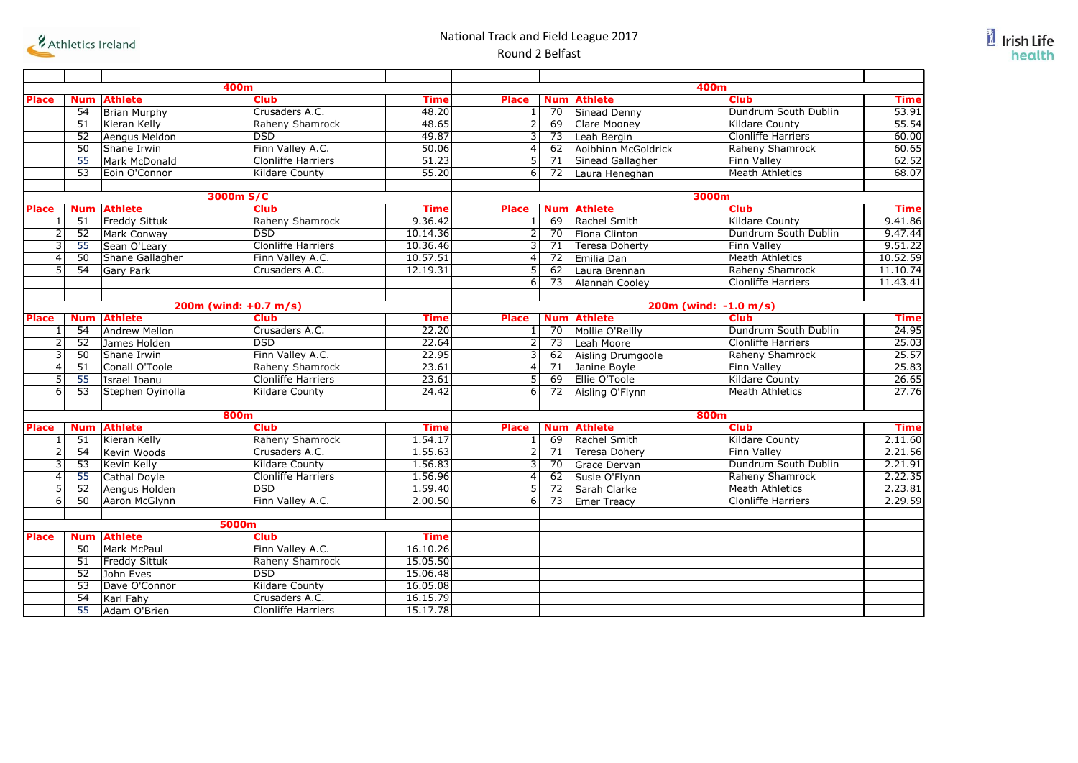



|                | 400m            |                      |                           |             |                  | 400m                  |                      |                           |             |  |  |
|----------------|-----------------|----------------------|---------------------------|-------------|------------------|-----------------------|----------------------|---------------------------|-------------|--|--|
| <b>Place</b>   | <b>Num</b>      | <b>Athlete</b>       | <b>Club</b>               | <b>Time</b> | Place            | <b>Num</b>            | <b>Athlete</b>       | <b>Club</b>               | <b>Time</b> |  |  |
|                | 54              | Brian Murphy         | Crusaders A.C.            | 48.20       | 1 <sup>1</sup>   | $\overline{70}$       | Sinead Denny         | Dundrum South Dublin      | 53.91       |  |  |
|                | 51              | Kieran Kelly         | Raheny Shamrock           | 48.65       | $\overline{2}$   | 69                    | Clare Mooney         | Kildare County            | 55.54       |  |  |
|                | 52              | Aengus Meldon        | <b>DSD</b>                | 49.87       | $\overline{3}$   | 73                    | Leah Bergin          | <b>Clonliffe Harriers</b> | 60.00       |  |  |
|                | $\overline{50}$ | Shane Irwin          | Finn Valley A.C.          | 50.06       | 4                | 62                    | Aoibhinn McGoldrick  | Raheny Shamrock           | 60.65       |  |  |
|                | 55              | Mark McDonald        | <b>Clonliffe Harriers</b> | 51.23       | 5                | 71                    | Sinead Gallagher     | Finn Valley               | 62.52       |  |  |
|                | $\overline{53}$ | Eoin O'Connor        | <b>Kildare County</b>     | 55.20       | $6 \overline{6}$ | $\overline{72}$       | Laura Heneghan       | <b>Meath Athletics</b>    | 68.07       |  |  |
|                |                 |                      |                           |             |                  |                       |                      |                           |             |  |  |
|                |                 |                      | 3000m S/C                 |             |                  | 3000m                 |                      |                           |             |  |  |
| <b>Place</b>   | <b>Num</b>      | <b>Athlete</b>       | <b>Club</b>               | <b>Time</b> | <b>Place</b>     | <b>Num</b>            | <b>Athlete</b>       | <b>Club</b>               | <b>Time</b> |  |  |
| 1 <sup>1</sup> | $\overline{51}$ | <b>Freddy Sittuk</b> | Raheny Shamrock           | 9.36.42     | 1 <sup>1</sup>   | 69                    | Rachel Smith         | <b>Kildare County</b>     | 9.41.86     |  |  |
| $\overline{2}$ | 52              | Mark Conway          | DSD                       | 10.14.36    | <sub>2</sub>     | $\overline{70}$       | Fiona Clinton        | Dundrum South Dublin      | 9.47.44     |  |  |
| 3              | 55              | Sean O'Leary         | <b>Clonliffe Harriers</b> | 10.36.46    | $\overline{3}$   | 71                    | Teresa Doherty       | Finn Valley               | 9.51.22     |  |  |
| $\overline{4}$ | 50              | Shane Gallagher      | Finn Valley A.C.          | 10.57.51    | $\overline{4}$   | $\overline{72}$       | Emilia Dan           | <b>Meath Athletics</b>    | 10.52.59    |  |  |
| 5              | 54              | Gary Park            | Crusaders A.C.            | 12.19.31    | 5                | 62                    | Laura Brennan        | Raheny Shamrock           | 11.10.74    |  |  |
|                |                 |                      |                           |             | 6                | 73                    | Alannah Cooley       | Clonliffe Harriers        | 11.43.41    |  |  |
|                |                 |                      |                           |             |                  |                       |                      |                           |             |  |  |
|                |                 |                      | 200m (wind: $+0.7$ m/s)   |             |                  | 200m (wind: -1.0 m/s) |                      |                           |             |  |  |
| <b>Place</b>   | <b>Num</b>      | <b>Athlete</b>       | <b>Club</b>               | <b>Time</b> | <b>Place</b>     | <b>Num</b>            | <b>Athlete</b>       | <b>Club</b>               | <b>Time</b> |  |  |
| $\mathbf{1}$   | 54              | <b>Andrew Mellon</b> | Crusaders A.C.            | 22.20       | $1\vert$         | 70                    | Mollie O'Reilly      | Dundrum South Dublin      | 24.95       |  |  |
| $\overline{2}$ | 52              | James Holden         | <b>DSD</b>                | 22.64       | $\overline{2}$   | 73                    | Leah Moore           | <b>Clonliffe Harriers</b> | 25.03       |  |  |
| 3              | 50              | Shane Irwin          | Finn Valley A.C.          | 22.95       | 3                | 62                    | Aisling Drumgoole    | Raheny Shamrock           | 25.57       |  |  |
| $\overline{4}$ | 51              | Conall O'Toole       | Raheny Shamrock           | 23.61       | $\overline{4}$   | 71                    | Janine Boyle         | <b>Finn Valley</b>        | 25.83       |  |  |
| 5              | 55              | Israel Ibanu         | <b>Clonliffe Harriers</b> | 23.61       | 5 <sup>1</sup>   | 69                    | <b>Ellie O'Toole</b> | <b>Kildare County</b>     | 26.65       |  |  |
| 6              | $\overline{53}$ | Stephen Oyinolla     | <b>Kildare County</b>     | 24.42       | 6                | $\overline{72}$       | Aisling O'Flynn      | <b>Meath Athletics</b>    | 27.76       |  |  |
|                |                 |                      |                           |             |                  |                       |                      |                           |             |  |  |
|                | <b>800m</b>     |                      |                           |             |                  | <b>800m</b>           |                      |                           |             |  |  |
| <b>Place</b>   | <b>Num</b>      | <b>Athlete</b>       | <b>Club</b>               | <b>Time</b> | <b>Place</b>     | <b>Num</b>            | <b>Athlete</b>       | <b>Club</b>               | <b>Time</b> |  |  |
| 1              | 51              | Kieran Kelly         | Raheny Shamrock           | 1.54.17     | $1\vert$         | 69                    | Rachel Smith         | <b>Kildare County</b>     | 2.11.60     |  |  |
| $\overline{2}$ | 54              | Kevin Woods          | Crusaders A.C.            | 1.55.63     | $\overline{2}$   | $\overline{71}$       | <b>Teresa Dohery</b> | <b>Finn Valley</b>        | 2.21.56     |  |  |
| 3              | 53              | <b>Kevin Kelly</b>   | <b>Kildare County</b>     | 1.56.83     | $\overline{3}$   | 70                    | Grace Dervan         | Dundrum South Dublin      | 2.21.91     |  |  |
| $\overline{4}$ | 55              | Cathal Doyle         | <b>Clonliffe Harriers</b> | 1.56.96     | $\overline{a}$   | 62                    | Susie O'Flynn        | Raheny Shamrock           | 2.22.35     |  |  |
| 5              | 52              | Aengus Holden        | <b>DSD</b>                | 1.59.40     | $\overline{5}$   | 72                    | Sarah Clarke         | <b>Meath Athletics</b>    | 2.23.81     |  |  |
| $\overline{6}$ | 50              | Aaron McGlynn        | Finn Valley A.C.          | 2.00.50     | 6                | 73                    | <b>Emer Treacy</b>   | <b>Clonliffe Harriers</b> | 2.29.59     |  |  |
|                |                 |                      |                           |             |                  |                       |                      |                           |             |  |  |
|                |                 |                      | 5000m                     |             |                  |                       |                      |                           |             |  |  |
| <b>Place</b>   | <b>Num</b>      | <b>Athlete</b>       | <b>Club</b>               | <b>Time</b> |                  |                       |                      |                           |             |  |  |
|                | 50              | <b>Mark McPaul</b>   | Finn Valley A.C.          | 16.10.26    |                  |                       |                      |                           |             |  |  |
|                | $\overline{51}$ | <b>Freddy Sittuk</b> | Raheny Shamrock           | 15.05.50    |                  |                       |                      |                           |             |  |  |
|                | 52              | John Eves            | <b>DSD</b>                | 15.06.48    |                  |                       |                      |                           |             |  |  |
|                | 53              | Dave O'Connor        | <b>Kildare County</b>     | 16.05.08    |                  |                       |                      |                           |             |  |  |
|                | 54              | Karl Fahy            | Crusaders A.C.            | 16.15.79    |                  |                       |                      |                           |             |  |  |
|                | 55              | Adam O'Brien         | <b>Clonliffe Harriers</b> | 15.17.78    |                  |                       |                      |                           |             |  |  |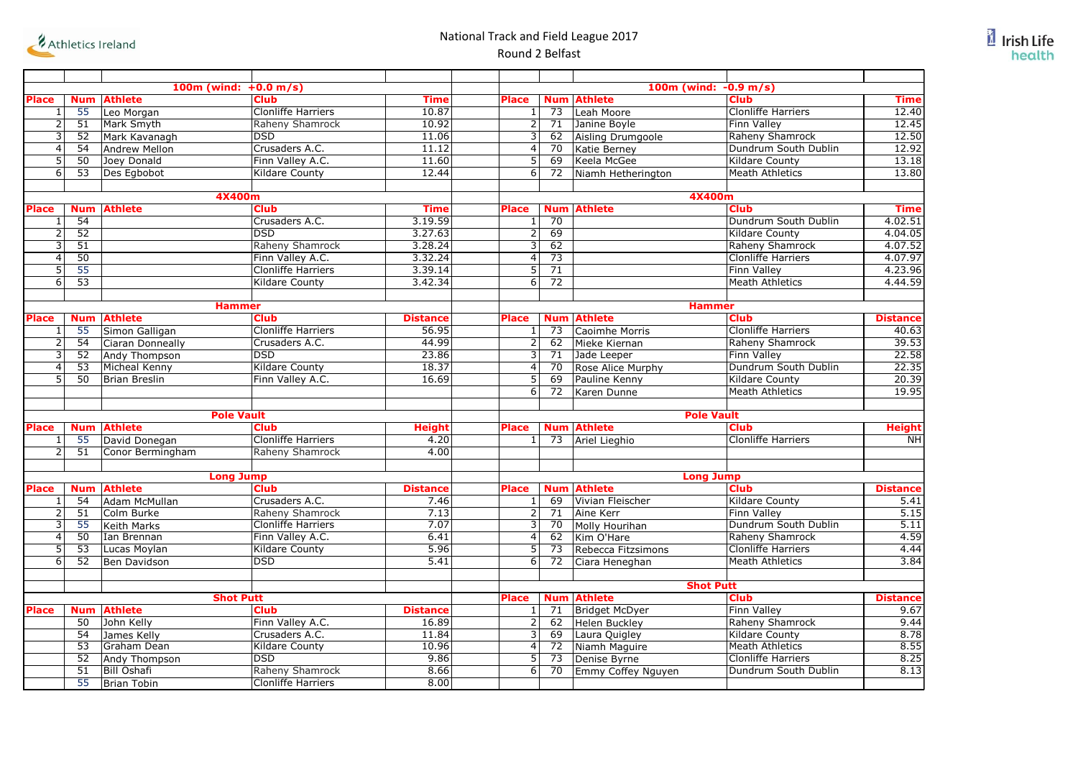



|                         |                  | 100m (wind: $+0.0$ m/s) |                           |                 |  |                         |                 |                    | 100m (wind: $-0.9$ m/s)   |                 |
|-------------------------|------------------|-------------------------|---------------------------|-----------------|--|-------------------------|-----------------|--------------------|---------------------------|-----------------|
| Place                   | <b>Num</b>       | <b>Athlete</b>          | <b>Club</b>               | Time            |  | <b>Place</b>            | <b>Num</b>      | <b>Athlete</b>     | <b>Club</b>               | <b>Time</b>     |
| $\mathbf{1}$            | 55               | Leo Morgan              | <b>Clonliffe Harriers</b> | 10.87           |  | $\overline{1}$          | $\overline{73}$ | Leah Moore         | <b>Clonliffe Harriers</b> | 12.40           |
| $\overline{2}$          | 51               | Mark Smyth              | Raheny Shamrock           | 10.92           |  | $\overline{2}$          | 71              | Janine Boyle       | <b>Finn Valley</b>        | 12.45           |
| $\overline{\mathbf{3}}$ | 52               | Mark Kavanagh           | <b>DSD</b>                | 11.06           |  | $\overline{3}$          | 62              | Aisling Drumgoole  | Raheny Shamrock           | 12.50           |
| $\overline{4}$          | 54               | <b>Andrew Mellon</b>    | Crusaders A.C.            | 11.12           |  | 4                       | 70              | Katie Berney       | Dundrum South Dublin      | 12.92           |
| 5                       | 50               | Joey Donald             | Finn Valley A.C.          | 11.60           |  | 5 <sup>1</sup>          | 69              | Keela McGee        | <b>Kildare County</b>     | 13.18           |
| 6                       | 53               | Des Egbobot             | <b>Kildare County</b>     | 12.44           |  | $6\overline{6}$         | 72              | Niamh Hetherington | Meath Athletics           | 13.80           |
|                         |                  |                         |                           |                 |  |                         |                 |                    |                           |                 |
|                         |                  | 4X400m                  |                           |                 |  |                         |                 |                    | 4X400m                    |                 |
| <b>Place</b>            | <b>Num</b>       | <b>Athlete</b>          | <b>Club</b>               | <b>Time</b>     |  | <b>Place</b>            | <b>Num</b>      | <b>Athlete</b>     | <b>Club</b>               | <b>Time</b>     |
| 1                       | 54               |                         | Crusaders A.C.            | 3.19.59         |  | $1\vert$                | 70              |                    | Dundrum South Dublin      | 4.02.51         |
| $\overline{2}$          | $\overline{52}$  |                         | DSD                       | 3.27.63         |  | $\overline{2}$          | 69              |                    | <b>Kildare County</b>     | 4.04.05         |
| 3                       | 51               |                         | Raheny Shamrock           | 3.28.24         |  | $\overline{\mathbf{3}}$ | 62              |                    | Raheny Shamrock           | 4.07.52         |
| $\overline{4}$          | 50               |                         | Finn Valley A.C.          | 3.32.24         |  | $\overline{4}$          | 73              |                    | <b>Clonliffe Harriers</b> | 4.07.97         |
| $\overline{5}$          | 55               |                         | Clonliffe Harriers        | 3.39.14         |  | $\overline{5}$          | $\overline{71}$ |                    | Finn Valley               | 4.23.96         |
| $\overline{6}$          | 53               |                         | Kildare County            | 3.42.34         |  | $\overline{6}$          | 72              |                    | Meath Athletics           | 4.44.59         |
|                         |                  |                         |                           |                 |  |                         |                 |                    |                           |                 |
|                         |                  | <b>Hammer</b>           |                           |                 |  |                         |                 |                    | <b>Hammer</b>             |                 |
| <b>Place</b>            | <b>Num</b>       | <b>Athlete</b>          | <b>Club</b>               | <b>Distance</b> |  | <b>Place</b>            | <b>Num</b>      | <b>Athlete</b>     | <b>Club</b>               | <b>Distance</b> |
| 1                       | 55               | Simon Galligan          | <b>Clonliffe Harriers</b> | 56.95           |  | $1\vert$                | 73              | Caoimhe Morris     | <b>Clonliffe Harriers</b> | 40.63           |
| $\overline{2}$          | 54               | <b>Ciaran Donneally</b> | Crusaders A.C.            | 44.99           |  | $\overline{2}$          | 62              | Mieke Kiernan      | Raheny Shamrock           | 39.53           |
| $\overline{3}$          | 52               | Andy Thompson           | <b>DSD</b>                | 23.86           |  | $\overline{3}$          | $\overline{71}$ | Jade Leeper        | Finn Valley               | 22.58           |
| $\overline{4}$          | 53               | Micheal Kenny           | <b>Kildare County</b>     | 18.37           |  | $\overline{4}$          | 70              | Rose Alice Murphy  | Dundrum South Dublin      | 22.35           |
| $\overline{5}$          | 50               | Brian Breslin           | Finn Valley A.C.          | 16.69           |  | 5 <sup>1</sup>          | 69              | Pauline Kenny      | <b>Kildare County</b>     | 20.39           |
|                         |                  |                         |                           |                 |  | $6\sqrt{2}$             | 72              | Karen Dunne        | <b>Meath Athletics</b>    | 19.95           |
|                         |                  |                         |                           |                 |  |                         |                 |                    |                           |                 |
|                         |                  | <b>Pole Vault</b>       |                           |                 |  |                         |                 |                    | <b>Pole Vault</b>         |                 |
| <b>Place</b>            | <b>Num</b>       | <b>Athlete</b>          | <b>Club</b>               | <b>Height</b>   |  | Place                   | <b>Num</b>      | <b>Athlete</b>     | <b>Club</b>               | <b>Height</b>   |
| $\vert$ 1               | 55               | David Donegan           | <b>Clonliffe Harriers</b> | 4.20            |  | $1\vert$                | 73              | Ariel Lieghio      | <b>Clonliffe Harriers</b> | N <sub>H</sub>  |
| $\overline{2}$          | 51               | Conor Bermingham        | Raheny Shamrock           | 4.00            |  |                         |                 |                    |                           |                 |
|                         |                  |                         |                           |                 |  |                         |                 |                    |                           |                 |
|                         | <b>Long Jump</b> |                         |                           |                 |  | <b>Long Jump</b>        |                 |                    |                           |                 |
| Place                   | <b>Num</b>       | <b>Athlete</b>          | <b>Club</b>               | <b>Distance</b> |  | Place                   | <b>Num</b>      | <b>Athlete</b>     | <b>Club</b>               | <b>Distance</b> |
| 1                       | 54               | Adam McMullan           | Crusaders A.C.            | 7.46            |  | 1                       | 69              | Vivian Fleischer   | <b>Kildare County</b>     | 5.41            |
| $\overline{2}$          | 51               | Colm Burke              | Raheny Shamrock           | 7.13            |  | $\overline{2}$          | 71              | Aine Kerr          | <b>Finn Valley</b>        | 5.15            |
| $\overline{3}$          | 55               | Keith Marks             | Clonliffe Harriers        | 7.07            |  | $\overline{3}$          | $\overline{70}$ | Molly Hourihan     | Dundrum South Dublin      | 5.11            |
| $\overline{4}$          | 50               | Ian Brennan             | Finn Valley A.C.          | 6.41            |  | $\overline{4}$          | 62              | Kim O'Hare         | Raheny Shamrock           | 4.59            |
| $\overline{5}$          | $\overline{53}$  | Lucas Moylan            | <b>Kildare County</b>     | 5.96            |  | 5                       | $\overline{73}$ | Rebecca Fitzsimons | <b>Clonliffe Harriers</b> | 4.44            |
| 6                       | $\overline{52}$  | <b>Ben Davidson</b>     | <b>DSD</b>                | 5.41            |  | 6 <sup>1</sup>          | 72              | Ciara Heneghan     | <b>Meath Athletics</b>    | 3.84            |
|                         |                  |                         |                           |                 |  |                         |                 |                    |                           |                 |
|                         |                  |                         |                           |                 |  |                         |                 |                    | <b>Shot Putt</b>          |                 |
|                         |                  | <b>Shot Putt</b>        |                           |                 |  | <b>Place</b>            | <b>Num</b>      | <b>Athlete</b>     | <b>Club</b>               | <b>Distance</b> |
| <b>Place</b>            | <b>Num</b>       | <b>Athlete</b>          | <b>Club</b>               | <b>Distance</b> |  | $1\vert$                | 71              | Bridget McDyer     | Finn Valley               | 9.67            |
|                         | 50               | John Kelly              | Finn Valley A.C.          | 16.89           |  | $\overline{2}$          | 62              | Helen Buckley      | Raheny Shamrock           | 9.44            |
|                         | 54               | James Kelly             | Crusaders A.C.            | 11.84           |  | $\overline{3}$          | 69              | Laura Quigley      | <b>Kildare County</b>     | 8.78            |
|                         | $\overline{53}$  | Graham Dean             | <b>Kildare County</b>     | 10.96           |  | $\vert$                 | 72              | Niamh Maguire      | <b>Meath Athletics</b>    | 8.55            |
|                         | 52               | <b>Andy Thompson</b>    | <b>DSD</b>                | 9.86            |  | 5 <sup>1</sup>          | $\overline{73}$ | Denise Byrne       | <b>Clonliffe Harriers</b> | 8.25            |
|                         | 51               | Bill Oshafi             | Raheny Shamrock           | 8.66            |  | 6 <sup>1</sup>          | 70              | Emmy Coffey Nguyen | Dundrum South Dublin      | 8.13            |
|                         | 55               | <b>Brian Tobin</b>      | Clonliffe Harriers        | 8.00            |  |                         |                 |                    |                           |                 |